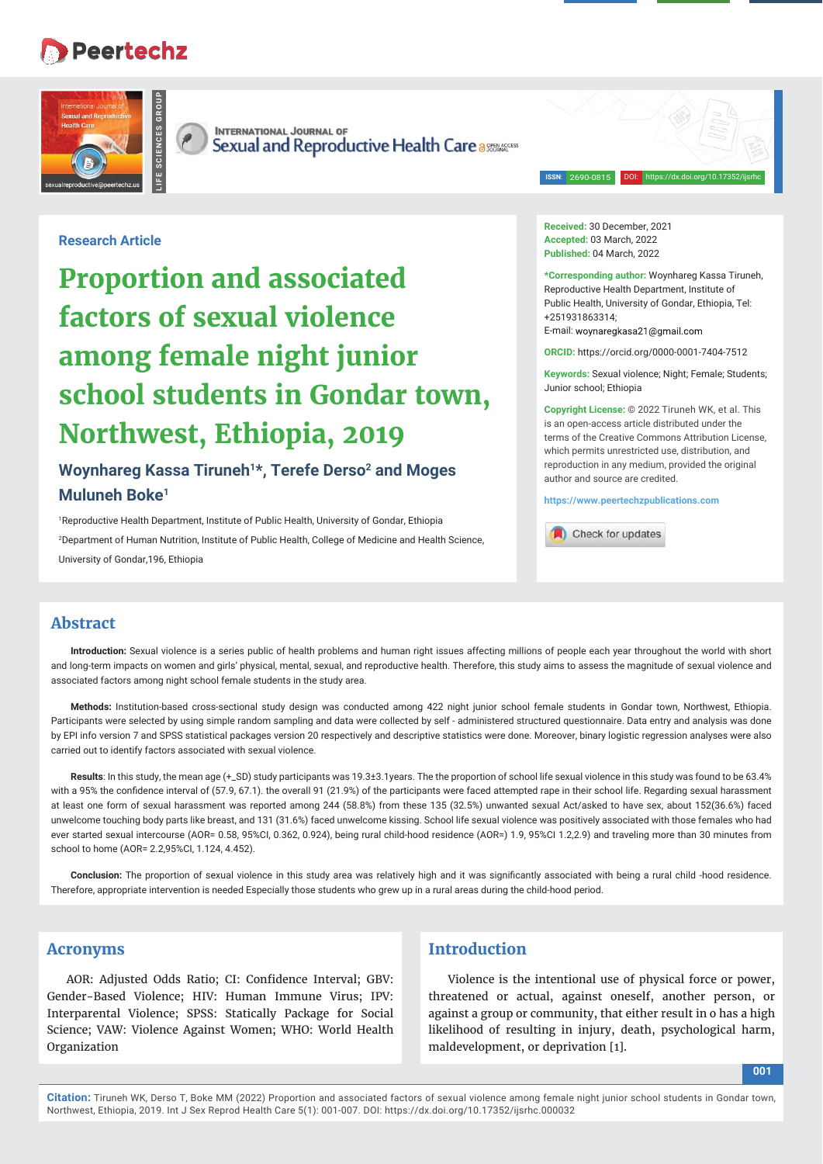# **Peertechz**





**INTERNATIONAL JOURNAL OF** Sexual and Reproductive Health Care a SUBARCETS

> DOI: https://dx.doi.org/10.17352/ijsrhc **ISSN**: 2690-0815

# **Research Article**

**Proportion and associated factors of sexual violence among female night junior school students in Gondar town, Northwest, Ethiopia, 2019**

# **Woynhareg Kassa Tiruneh1\*, Terefe Derso2 and Moges Muluneh Boke1**

1 Reproductive Health Department, Institute of Public Health, University of Gondar, Ethiopia 2 Department of Human Nutrition, Institute of Public Health, College of Medicine and Health Science, University of Gondar,196, Ethiopia

**Received:** 30 December, 2021 **Accepted:** 03 March, 2022 **Published:** 04 March, 2022

**\*Corresponding author:** Woynhareg Kassa Tiruneh, Reproductive Health Department, Institute of Public Health, University of Gondar, Ethiopia, Tel: +251931863314;

E-mail: woynaregkasa21@gmail.com

**ORCID:** https://orcid.org/0000-0001-7404-7512

**Keywords:** Sexual violence; Night; Female; Students; Junior school; Ethiopia

**Copyright License:** © 2022 Tiruneh WK, et al. This is an open-access article distributed under the terms of the Creative Commons Attribution License, which permits unrestricted use, distribution, and reproduction in any medium, provided the original author and source are credited.

**https://www.peertechzpublications.com**

Check for updates

## **Abstract**

**Introduction:** Sexual violence is a series public of health problems and human right issues affecting millions of people each year throughout the world with short and long-term impacts on women and girls' physical, mental, sexual, and reproductive health. Therefore, this study aims to assess the magnitude of sexual violence and associated factors among night school female students in the study area.

**Methods:** Institution-based cross-sectional study design was conducted among 422 night junior school female students in Gondar town, Northwest, Ethiopia. Participants were selected by using simple random sampling and data were collected by self - administered structured questionnaire. Data entry and analysis was done by EPI info version 7 and SPSS statistical packages version 20 respectively and descriptive statistics were done. Moreover, binary logistic regression analyses were also carried out to identify factors associated with sexual violence.

Results: In this study, the mean age (+\_SD) study participants was 19.3±3.1years. The the proportion of school life sexual violence in this study was found to be 63.4% with a 95% the confidence interval of (57.9, 67.1). the overall 91 (21.9%) of the participants were faced attempted rape in their school life. Regarding sexual harassment at least one form of sexual harassment was reported among 244 (58.8%) from these 135 (32.5%) unwanted sexual Act/asked to have sex, about 152(36.6%) faced unwelcome touching body parts like breast, and 131 (31.6%) faced unwelcome kissing. School life sexual violence was positively associated with those females who had ever started sexual intercourse (AOR= 0.58, 95%CI, 0.362, 0.924), being rural child-hood residence (AOR=) 1.9, 95%CI 1.2,2.9) and traveling more than 30 minutes from school to home (AOR= 2.2,95%CI, 1.124, 4.452).

Conclusion: The proportion of sexual violence in this study area was relatively high and it was significantly associated with being a rural child -hood residence. Therefore, appropriate intervention is needed Especially those students who grew up in a rural areas during the child-hood period.

#### **Acronyms**

AOR: Adjusted Odds Ratio; CI: Confidence Interval; GBV: Gender-Based Violence; HIV: Human Immune Virus; IPV: Interparental Violence; SPSS: Statically Package for Social Science; VAW: Violence Against Women; WHO: World Health Organization

# **Introduction**

Violence is the intentional use of physical force or power, threatened or actual, against oneself, another person, or against a group or community, that either result in o has a high likelihood of resulting in injury, death, psychological harm, maldevelopment, or deprivation [1].

**001**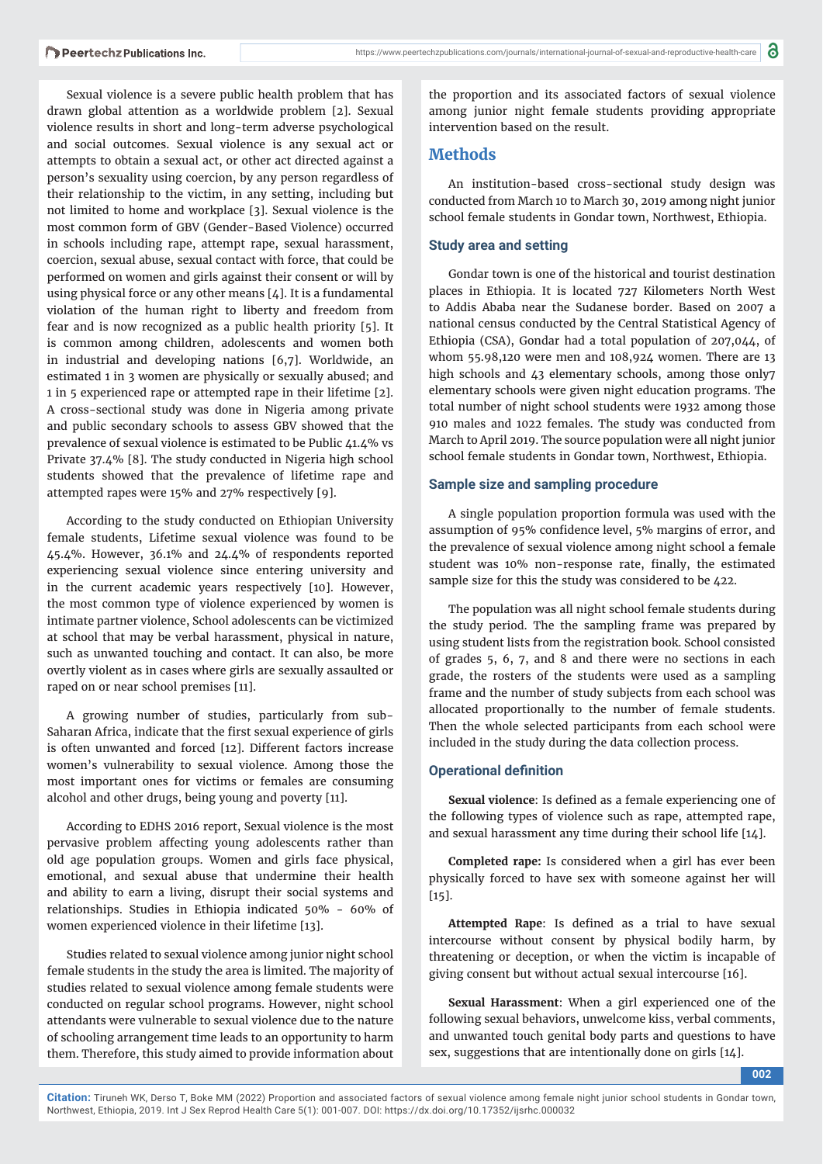Sexual violence is a severe public health problem that has drawn global attention as a worldwide problem [2]. Sexual violence results in short and long-term adverse psychological and social outcomes. Sexual violence is any sexual act or attempts to obtain a sexual act, or other act directed against a person's sexuality using coercion, by any person regardless of their relationship to the victim, in any setting, including but not limited to home and workplace [3]. Sexual violence is the most common form of GBV (Gender-Based Violence) occurred in schools including rape, attempt rape, sexual harassment, coercion, sexual abuse, sexual contact with force, that could be performed on women and girls against their consent or will by using physical force or any other means [4]. It is a fundamental violation of the human right to liberty and freedom from fear and is now recognized as a public health priority [5]. It is common among children, adolescents and women both in industrial and developing nations [6,7]. Worldwide, an estimated 1 in 3 women are physically or sexually abused; and 1 in 5 experienced rape or attempted rape in their lifetime [2]. A cross-sectional study was done in Nigeria among private and public secondary schools to assess GBV showed that the prevalence of sexual violence is estimated to be Public 41.4% vs Private 37.4% [8]. The study conducted in Nigeria high school students showed that the prevalence of lifetime rape and attempted rapes were 15% and 27% respectively [9].

According to the study conducted on Ethiopian University female students, Lifetime sexual violence was found to be 45.4%. However, 36.1% and 24.4% of respondents reported experiencing sexual violence since entering university and in the current academic years respectively [10]. However, the most common type of violence experienced by women is intimate partner violence, School adolescents can be victimized at school that may be verbal harassment, physical in nature, such as unwanted touching and contact. It can also, be more overtly violent as in cases where girls are sexually assaulted or raped on or near school premises [11].

A growing number of studies, particularly from sub-Saharan Africa, indicate that the first sexual experience of girls is often unwanted and forced [12]. Different factors increase women's vulnerability to sexual violence. Among those the most important ones for victims or females are consuming alcohol and other drugs, being young and poverty [11].

According to EDHS 2016 report, Sexual violence is the most pervasive problem affecting young adolescents rather than old age population groups. Women and girls face physical, emotional, and sexual abuse that undermine their health and ability to earn a living, disrupt their social systems and relationships. Studies in Ethiopia indicated 50% - 60% of women experienced violence in their lifetime [13].

Studies related to sexual violence among junior night school female students in the study the area is limited. The majority of studies related to sexual violence among female students were conducted on regular school programs. However, night school attendants were vulnerable to sexual violence due to the nature of schooling arrangement time leads to an opportunity to harm them. Therefore, this study aimed to provide information about

the proportion and its associated factors of sexual violence among junior night female students providing appropriate intervention based on the result.

# **Methods**

An institution-based cross-sectional study design was conducted from March 10 to March 30, 2019 among night junior school female students in Gondar town, Northwest, Ethiopia.

### **Study area and setting**

Gondar town is one of the historical and tourist destination places in Ethiopia. It is located 727 Kilometers North West to Addis Ababa near the Sudanese border. Based on 2007 a national census conducted by the Central Statistical Agency of Ethiopia (CSA), Gondar had a total population of 207,044, of whom 55.98,120 were men and 108,924 women. There are 13 high schools and 43 elementary schools, among those only7 elementary schools were given night education programs. The total number of night school students were 1932 among those 910 males and 1022 females. The study was conducted from March to April 2019. The source population were all night junior school female students in Gondar town, Northwest, Ethiopia.

#### **Sample size and sampling procedure**

A single population proportion formula was used with the assumption of 95% confidence level, 5% margins of error, and the prevalence of sexual violence among night school a female student was 10% non-response rate, finally, the estimated sample size for this the study was considered to be 422.

The population was all night school female students during the study period. The the sampling frame was prepared by using student lists from the registration book. School consisted of grades 5, 6, 7, and 8 and there were no sections in each grade, the rosters of the students were used as a sampling frame and the number of study subjects from each school was allocated proportionally to the number of female students. Then the whole selected participants from each school were included in the study during the data collection process.

## **Operational definition**

**Sexual violence**: Is defined as a female experiencing one of the following types of violence such as rape, attempted rape, and sexual harassment any time during their school life [14].

**Completed rape:** Is considered when a girl has ever been physically forced to have sex with someone against her will [15].

Attempted Rape: Is defined as a trial to have sexual intercourse without consent by physical bodily harm, by threatening or deception, or when the victim is incapable of giving consent but without actual sexual intercourse [16].

**Sexual Harassment**: When a girl experienced one of the following sexual behaviors, unwelcome kiss, verbal comments, and unwanted touch genital body parts and questions to have sex, suggestions that are intentionally done on girls [14].

**002**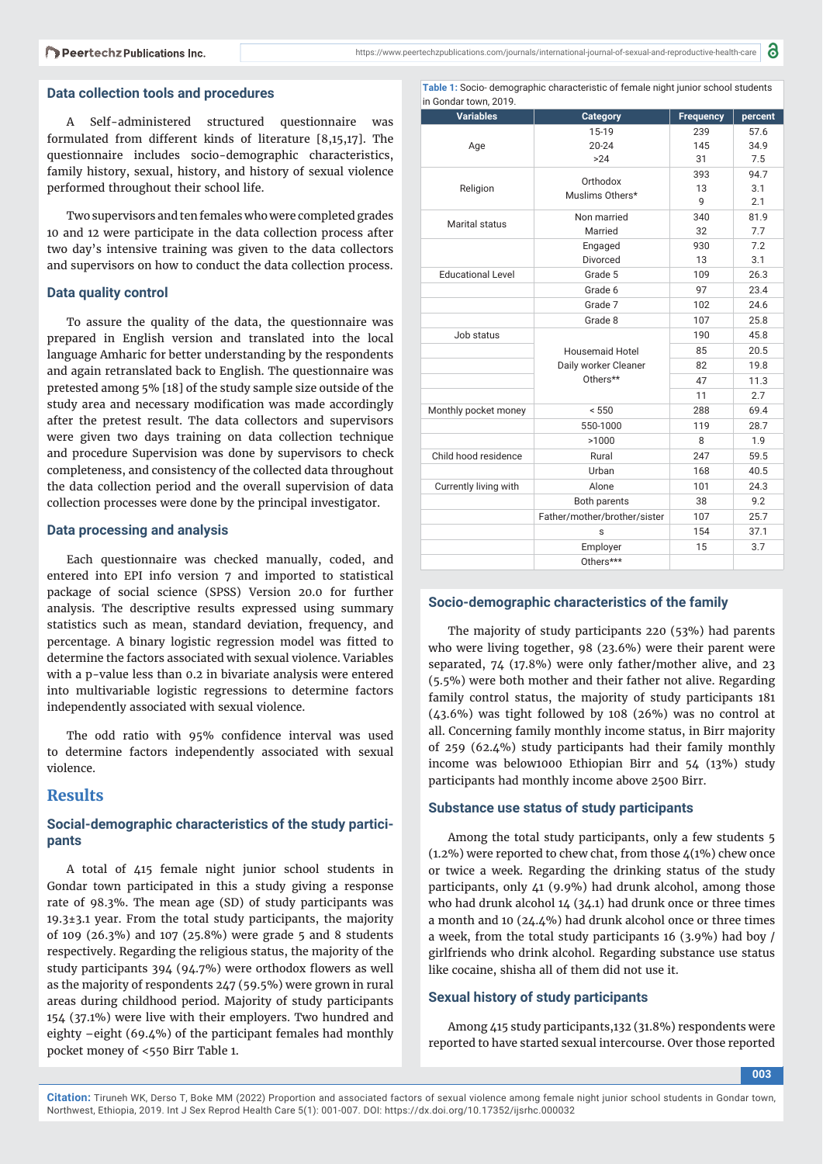#### **Data collection tools and procedures**

A Self-administered structured questionnaire was formulated from different kinds of literature [8,15,17]. The questionnaire includes socio-demographic characteristics, family history, sexual, history, and history of sexual violence performed throughout their school life.

Two supervisors and ten females who were completed grades 10 and 12 were participate in the data collection process after two day's intensive training was given to the data collectors and supervisors on how to conduct the data collection process.

#### **Data quality control**

To assure the quality of the data, the questionnaire was prepared in English version and translated into the local language Amharic for better understanding by the respondents and again retranslated back to English. The questionnaire was pretested among 5% [18] of the study sample size outside of the study area and necessary modification was made accordingly after the pretest result. The data collectors and supervisors were given two days training on data collection technique and procedure Supervision was done by supervisors to check completeness, and consistency of the collected data throughout the data collection period and the overall supervision of data collection processes were done by the principal investigator.

#### **Data processing and analysis**

Each questionnaire was checked manually, coded, and entered into EPI info version 7 and imported to statistical package of social science (SPSS) Version 20.0 for further analysis. The descriptive results expressed using summary statistics such as mean, standard deviation, frequency, and percentage. A binary logistic regression model was fitted to determine the factors associated with sexual violence. Variables with a p-value less than 0.2 in bivariate analysis were entered into multivariable logistic regressions to determine factors independently associated with sexual violence.

The odd ratio with 95% confidence interval was used to determine factors independently associated with sexual violence.

# **Results**

#### **Social-demographic characteristics of the study participants**

A total of 415 female night junior school students in Gondar town participated in this a study giving a response rate of 98.3%. The mean age (SD) of study participants was  $19.3\pm3.1$  year. From the total study participants, the majority of 109 (26.3%) and 107 (25.8%) were grade 5 and 8 students respectively. Regarding the religious status, the majority of the study participants  $394$  (94.7%) were orthodox flowers as well as the majority of respondents 247 (59.5%) were grown in rural areas during childhood period. Majority of study participants 154 (37.1%) were live with their employers. Two hundred and eighty –eight (69.4%) of the participant females had monthly pocket money of <550 Birr Table 1.

**Table 1:** Socio- demographic characteristic of female night junior school students in Gondar town, 2019.

| <b>Variables</b>         | <b>Category</b>              | <b>Frequency</b> | percent |
|--------------------------|------------------------------|------------------|---------|
|                          | 15-19                        | 239              | 57.6    |
| Age                      | $20 - 24$                    | 145              | 34.9    |
|                          | >24                          | 31               | 7.5     |
|                          | Orthodox                     | 393              | 94.7    |
| Religion                 | Muslims Others*              | 13               | 3.1     |
|                          |                              | q                | 2.1     |
| Marital status           | Non married                  | 340              | 81.9    |
|                          | Married                      | 32               | 7.7     |
|                          | Engaged                      | 930              | 7.2     |
|                          | Divorced                     | 13               | 3.1     |
| <b>Educational Level</b> | Grade 5                      | 109              | 26.3    |
|                          | Grade 6                      | 97               | 23.4    |
|                          | Grade 7                      | 102              | 24.6    |
|                          | Grade 8                      | 107              | 25.8    |
| Job status               |                              | 190              | 45.8    |
|                          | <b>Housemaid Hotel</b>       | 85               | 20.5    |
|                          | Daily worker Cleaner         | 82               | 19.8    |
|                          | Others**                     | 47               | 11.3    |
|                          |                              |                  |         |
| Monthly pocket money     | < 550                        | 288              | 69.4    |
|                          | 550-1000                     | 119              | 28.7    |
|                          | >1000                        | 8                | 1.9     |
| Child hood residence     | Rural                        | 247              | 59.5    |
|                          | Urban                        | 168              | 40.5    |
| Currently living with    | Alone                        | 101              | 24.3    |
|                          | Both parents                 | 38               | 9.2     |
|                          | Father/mother/brother/sister | 107              | 25.7    |
|                          | S                            | 154              | 37.1    |
|                          | Employer                     | 15               | 3.7     |
|                          | Others***                    |                  |         |

#### **Socio-demographic characteristics of the family**

The majority of study participants 220 (53%) had parents who were living together, 98 (23.6%) were their parent were separated, 74 (17.8%) were only father/mother alive, and 23 (5.5%) were both mother and their father not alive. Regarding family control status, the majority of study participants 181 (43.6%) was tight followed by 108 (26%) was no control at all. Concerning family monthly income status, in Birr majority of 259 (62.4%) study participants had their family monthly income was below1000 Ethiopian Birr and 54 (13%) study participants had monthly income above 2500 Birr.

#### **Substance use status of study participants**

Among the total study participants, only a few students 5 (1.2%) were reported to chew chat, from those  $4(1%)$  chew once or twice a week. Regarding the drinking status of the study participants, only 41 (9.9%) had drunk alcohol, among those who had drunk alcohol 14 (34.1) had drunk once or three times a month and 10 (24.4%) had drunk alcohol once or three times a week, from the total study participants 16 (3.9%) had boy / girlfriends who drink alcohol. Regarding substance use status like cocaine, shisha all of them did not use it.

#### **Sexual history of study participants**

Among 415 study participants,132 (31.8%) respondents were reported to have started sexual intercourse. Over those reported

**003**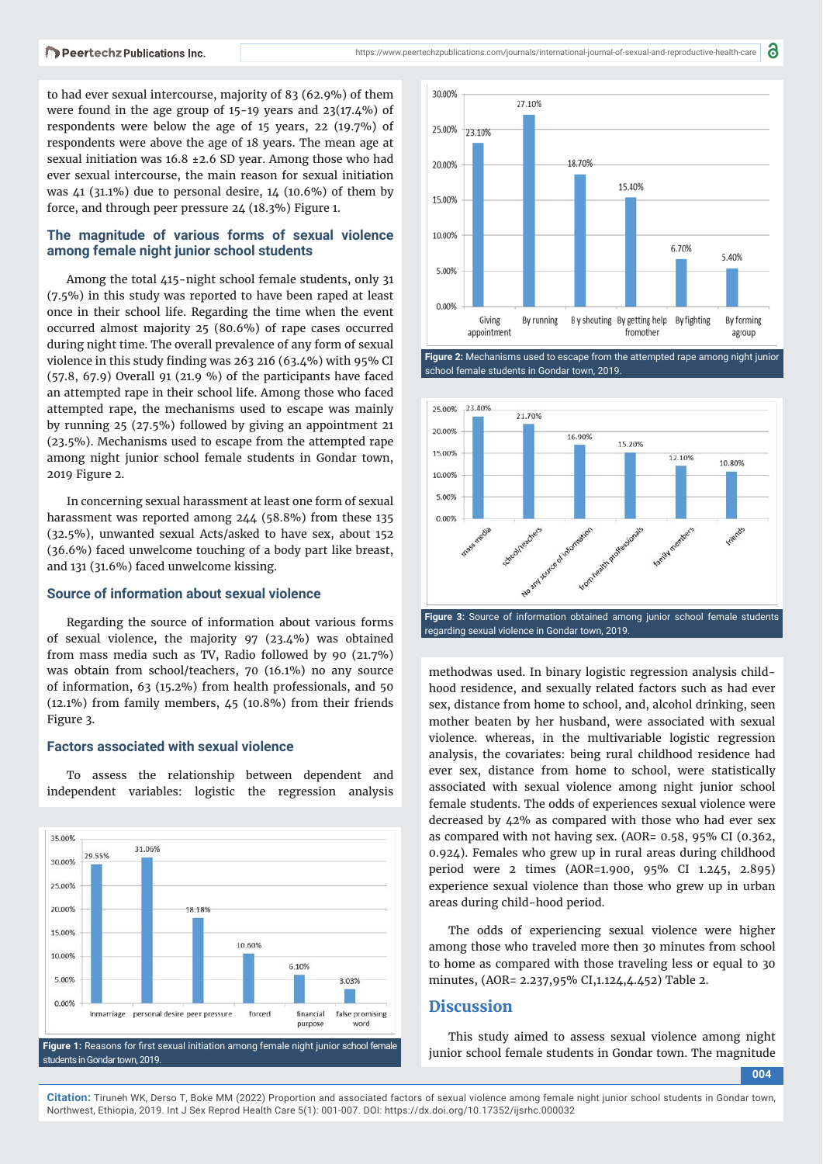to had ever sexual intercourse, majority of 83 (62.9%) of them were found in the age group of 15-19 years and 23(17.4%) of respondents were below the age of 15 years, 22 (19.7%) of respondents were above the age of 18 years. The mean age at sexual initiation was 16.8 ±2.6 SD year. Among those who had ever sexual intercourse, the main reason for sexual initiation was  $\mu$ 1 (31.1%) due to personal desire, 14 (10.6%) of them by force, and through peer pressure 24 (18.3%) Figure 1.

### **The magnitude of various forms of sexual violence among female night junior school students**

Among the total 415-night school female students, only 31 (7.5%) in this study was reported to have been raped at least once in their school life. Regarding the time when the event occurred almost majority 25 (80.6%) of rape cases occurred during night time. The overall prevalence of any form of sexual violence in this study finding was  $263$  216 (63.4%) with 95% CI (57.8, 67.9) Overall 91 (21.9 %) of the participants have faced an attempted rape in their school life. Among those who faced attempted rape, the mechanisms used to escape was mainly by running 25 (27.5%) followed by giving an appointment 21 (23.5%). Mechanisms used to escape from the attempted rape among night junior school female students in Gondar town, 2019 Figure 2.

In concerning sexual harassment at least one form of sexual harassment was reported among 244 (58.8%) from these 135 (32.5%), unwanted sexual Acts/asked to have sex, about 152 (36.6%) faced unwelcome touching of a body part like breast, and 131 (31.6%) faced unwelcome kissing.

#### **Source of information about sexual violence**

Regarding the source of information about various forms of sexual violence, the majority 97 (23.4%) was obtained from mass media such as TV, Radio followed by 90 (21.7%) was obtain from school/teachers, 70 (16.1%) no any source of information, 63 (15.2%) from health professionals, and 50 (12.1%) from family members, 45 (10.8%) from their friends Figure 3.

#### **Factors associated with sexual violence**

To assess the relationship between dependent and independent variables: logistic the regression analysis





a

school female students in Gondar town, 2019.



regarding sexual violence in Gondar town, 2019.

methodwas used. In binary logistic regression analysis childhood residence, and sexually related factors such as had ever sex, distance from home to school, and, alcohol drinking, seen mother beaten by her husband, were associated with sexual violence. whereas, in the multivariable logistic regression analysis, the covariates: being rural childhood residence had ever sex, distance from home to school, were statistically associated with sexual violence among night junior school female students. The odds of experiences sexual violence were decreased by 42% as compared with those who had ever sex as compared with not having sex. (AOR= 0.58, 95% CI (0.362, 0.924). Females who grew up in rural areas during childhood period were 2 times (AOR=1.900, 95% CI 1.245, 2.895) experience sexual violence than those who grew up in urban areas during child-hood period.

The odds of experiencing sexual violence were higher among those who traveled more then 30 minutes from school to home as compared with those traveling less or equal to 30 minutes, (AOR= 2.237,95% CI,1.124,4.452) Table 2.

#### **Discussion**

This study aimed to assess sexual violence among night

**004**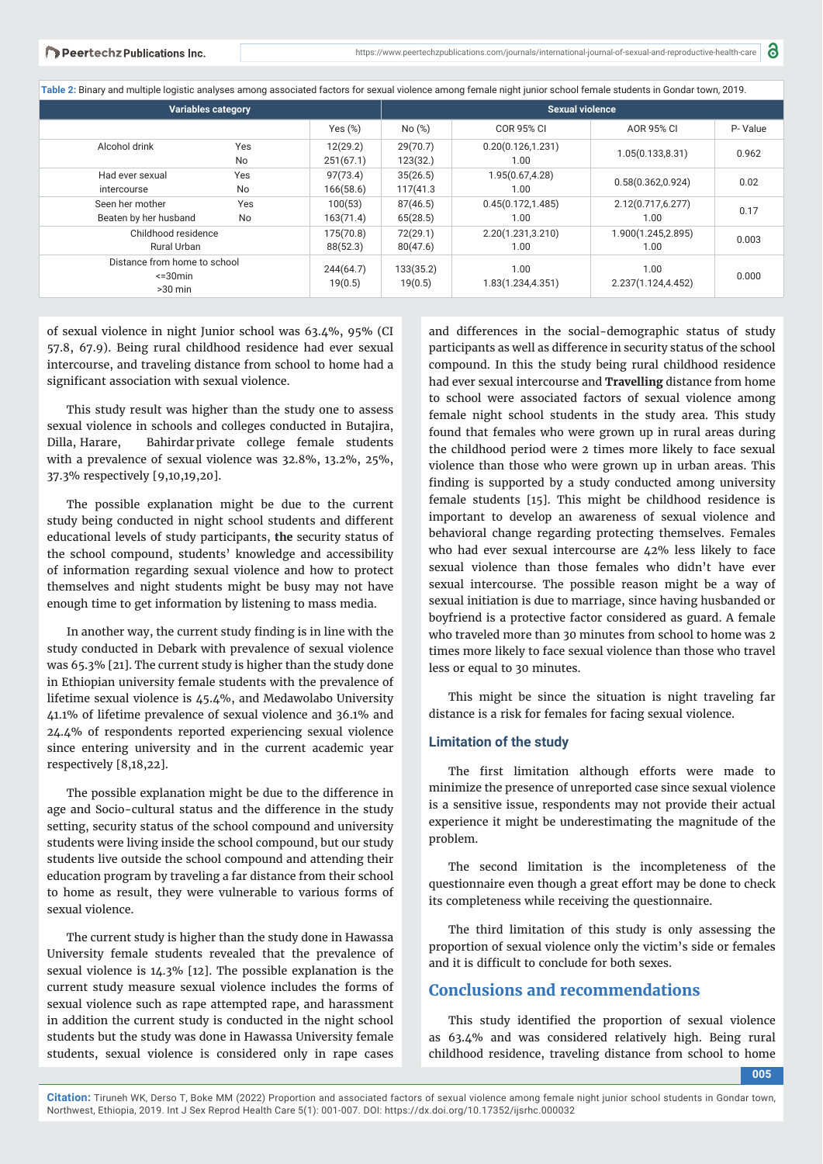**Table 2:** Binary and multiple logistic analyses among associated factors for sexual violence among female night junior school female students in Gondar town, 2019.

| Variables category                                                  |                  | Sexual violence       |                      |                            |                            |         |
|---------------------------------------------------------------------|------------------|-----------------------|----------------------|----------------------------|----------------------------|---------|
|                                                                     |                  | Yes $(\%)$            | No(%)                | COR 95% CI                 | AOR 95% CI                 | P-Value |
| Alcohol drink                                                       | Yes<br><b>No</b> | 12(29.2)<br>251(67.1) | 29(70.7)<br>123(32.) | 0.20(0.126, 1.231)<br>1.00 | 1.05(0.133, 8.31)          | 0.962   |
| Had ever sexual<br>intercourse                                      | Yes<br>No        | 97(73.4)<br>166(58.6) | 35(26.5)<br>117(41.3 | 1.95(0.67,4.28)<br>1.00    | 0.58(0.362, 0.924)         | 0.02    |
| Seen her mother<br>Beaten by her husband                            | Yes<br>No        | 100(53)<br>163(71.4)  | 87(46.5)<br>65(28.5) | 0.45(0.172, 1.485)<br>1.00 | 2.12(0.717,6.277)<br>1.00  | 0.17    |
| Childhood residence<br><b>Rural Urban</b>                           |                  | 175(70.8)<br>88(52.3) | 72(29.1)<br>80(47.6) | 2.20(1.231,3.210)<br>1.00  | 1.900(1.245,2.895)<br>1.00 | 0.003   |
| Distance from home to school<br>$\leq$ 30 $\text{min}$<br>$>30$ min |                  | 244(64.7)<br>19(0.5)  | 133(35.2)<br>19(0.5) | 1.00<br>1.83(1.234,4.351)  | 1.00<br>2.237(1.124,4.452) | 0.000   |

of sexual violence in night Junior school was 63.4%, 95% (CI 57.8, 67.9). Being rural childhood residence had ever sexual intercourse, and traveling distance from school to home had a significant association with sexual violence.

This study result was higher than the study one to assess sexual violence in schools and colleges conducted in Butajira, Dilla, Harare, Bahirdar private college female students with a prevalence of sexual violence was 32.8%, 13.2%, 25%, 37.3% respectively [9,10,19,20].

The possible explanation might be due to the current study being conducted in night school students and different educational levels of study participants, **the** security status of the school compound, students' knowledge and accessibility of information regarding sexual violence and how to protect themselves and night students might be busy may not have enough time to get information by listening to mass media.

In another way, the current study finding is in line with the study conducted in Debark with prevalence of sexual violence was 65.3% [21]. The current study is higher than the study done in Ethiopian university female students with the prevalence of lifetime sexual violence is 45.4%, and Medawolabo University 41.1% of lifetime prevalence of sexual violence and 36.1% and 24.4% of respondents reported experiencing sexual violence since entering university and in the current academic year respectively [8,18,22].

The possible explanation might be due to the difference in age and Socio-cultural status and the difference in the study setting, security status of the school compound and university students were living inside the school compound, but our study students live outside the school compound and attending their education program by traveling a far distance from their school to home as result, they were vulnerable to various forms of sexual violence.

The current study is higher than the study done in Hawassa University female students revealed that the prevalence of sexual violence is 14.3% [12]. The possible explanation is the current study measure sexual violence includes the forms of sexual violence such as rape attempted rape, and harassment in addition the current study is conducted in the night school students but the study was done in Hawassa University female students, sexual violence is considered only in rape cases

and differences in the social-demographic status of study participants as well as difference in security status of the school compound. In this the study being rural childhood residence had ever sexual intercourse and **Travelling** distance from home to school were associated factors of sexual violence among female night school students in the study area. This study found that females who were grown up in rural areas during the childhood period were 2 times more likely to face sexual violence than those who were grown up in urban areas. This finding is supported by a study conducted among university female students [15]. This might be childhood residence is important to develop an awareness of sexual violence and behavioral change regarding protecting themselves. Females who had ever sexual intercourse are 42% less likely to face sexual violence than those females who didn't have ever sexual intercourse. The possible reason might be a way of sexual initiation is due to marriage, since having husbanded or boyfriend is a protective factor considered as guard. A female who traveled more than 30 minutes from school to home was 2 times more likely to face sexual violence than those who travel less or equal to 30 minutes.

This might be since the situation is night traveling far distance is a risk for females for facing sexual violence.

#### **Limitation of the study**

The first limitation although efforts were made to minimize the presence of unreported case since sexual violence is a sensitive issue, respondents may not provide their actual experience it might be underestimating the magnitude of the problem.

The second limitation is the incompleteness of the questionnaire even though a great effort may be done to check its completeness while receiving the questionnaire.

The third limitation of this study is only assessing the proportion of sexual violence only the victim's side or females and it is difficult to conclude for both sexes.

# **Conclusions and recommendations**

This study identified the proportion of sexual violence as 63.4% and was considered relatively high. Being rural childhood residence, traveling distance from school to home

**005**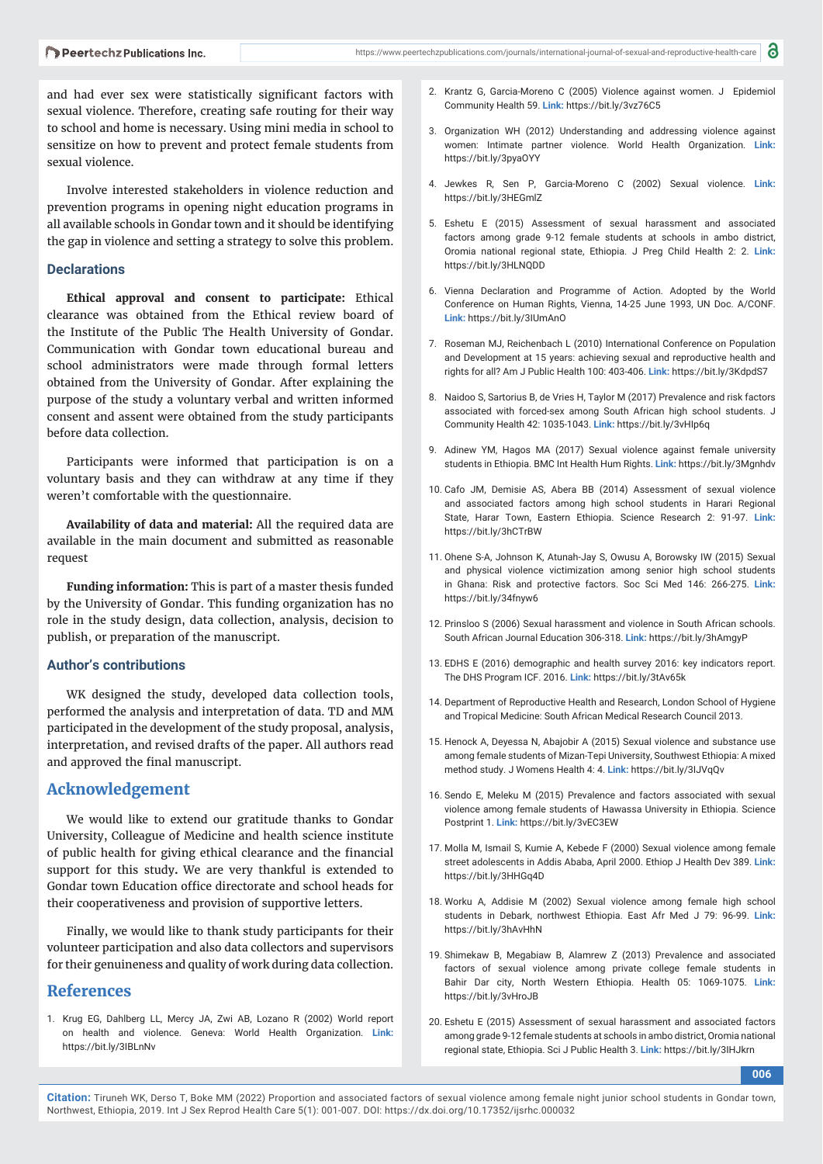and had ever sex were statistically significant factors with sexual violence. Therefore, creating safe routing for their way to school and home is necessary. Using mini media in school to sensitize on how to prevent and protect female students from sexual violence.

Involve interested stakeholders in violence reduction and prevention programs in opening night education programs in all available schools in Gondar town and it should be identifying the gap in violence and setting a strategy to solve this problem.

#### **Declarations**

**Ethical approval and consent to participate:** Ethical clearance was obtained from the Ethical review board of the Institute of the Public The Health University of Gondar. Communication with Gondar town educational bureau and school administrators were made through formal letters obtained from the University of Gondar. After explaining the purpose of the study a voluntary verbal and written informed consent and assent were obtained from the study participants before data collection.

Participants were informed that participation is on a voluntary basis and they can withdraw at any time if they weren't comfortable with the questionnaire.

**Availability of data and material:** All the required data are available in the main document and submitted as reasonable request

**Funding information:** This is part of a master thesis funded by the University of Gondar. This funding organization has no role in the study design, data collection, analysis, decision to publish, or preparation of the manuscript.

#### **Author's contributions**

WK designed the study, developed data collection tools, performed the analysis and interpretation of data. TD and MM participated in the development of the study proposal, analysis, interpretation, and revised drafts of the paper. All authors read and approved the final manuscript.

### **Acknowledgement**

We would like to extend our gratitude thanks to Gondar University, Colleague of Medicine and health science institute of public health for giving ethical clearance and the financial support for this study**.** We are very thankful is extended to Gondar town Education office directorate and school heads for their cooperativeness and provision of supportive letters.

Finally, we would like to thank study participants for their volunteer participation and also data collectors and supervisors for their genuineness and quality of work during data collection.

#### **References**

1. Krug EG, Dahlberg LL, Mercy JA, Zwi AB, Lozano R (2002) World report on health and violence. Geneva: World Health Organization. **Link:** https://bit.ly/3IBLnNv

- 2. Krantz G, Garcia-Moreno C (2005) Violence against women. J Epidemiol Community Health 59. **Link:** https://bit.ly/3vz76C5
- 3. Organization WH (2012) Understanding and addressing violence against women: Intimate partner violence. World Health Organization. **Link:** https://bit.ly/3pyaOYY
- 4. Jewkes R, Sen P, Garcia-Moreno C (2002) Sexual violence. **Link:** https://bit.ly/3HEGmlZ
- 5. Eshetu E (2015) Assessment of sexual harassment and associated factors among grade 9-12 female students at schools in ambo district, Oromia national regional state, Ethiopia. J Preg Child Health 2: 2. **Link:** https://bit.ly/3HLNQDD
- 6. Vienna Declaration and Programme of Action. Adopted by the World Conference on Human Rights, Vienna, 14-25 June 1993, UN Doc. A/CONF. **Link:** https://bit.ly/3IUmAnO
- 7. Roseman MJ, Reichenbach L (2010) International Conference on Population and Development at 15 years: achieving sexual and reproductive health and rights for all? Am J Public Health 100: 403-406. **Link:** https://bit.ly/3KdpdS7
- 8. Naidoo S, Sartorius B, de Vries H, Taylor M (2017) Prevalence and risk factors associated with forced-sex among South African high school students. J Community Health 42: 1035-1043. **Link:** https://bit.ly/3vHIp6q
- 9. Adinew YM, Hagos MA (2017) Sexual violence against female university students in Ethiopia. BMC Int Health Hum Rights. **Link:** https://bit.ly/3Mgnhdv
- 10. Cafo JM, Demisie AS, Abera BB (2014) Assessment of sexual violence and associated factors among high school students in Harari Regional State, Harar Town, Eastern Ethiopia. Science Research 2: 91-97. **Link:**  https://bit.ly/3hCTrBW
- 11. Ohene S-A, Johnson K, Atunah-Jay S, Owusu A, Borowsky IW (2015) Sexual and physical violence victimization among senior high school students in Ghana: Risk and protective factors. Soc Sci Med 146: 266-275. **Link:** https://bit.ly/34fnyw6
- 12. Prinsloo S (2006) Sexual harassment and violence in South African schools. South African Journal Education 306-318. **Link:** https://bit.ly/3hAmgyP
- 13. EDHS E (2016) demographic and health survey 2016: key indicators report. The DHS Program ICF. 2016. **Link:** https://bit.ly/3tAv65k
- 14. Department of Reproductive Health and Research, London School of Hygiene and Tropical Medicine: South African Medical Research Council 2013.
- 15. Henock A, Deyessa N, Abajobir A (2015) Sexual violence and substance use among female students of Mizan-Tepi University, Southwest Ethiopia: A mixed method study. J Womens Health 4: 4. **Link:** https://bit.ly/3IJVqQv
- 16. Sendo E, Meleku M (2015) Prevalence and factors associated with sexual violence among female students of Hawassa University in Ethiopia. Science Postprint 1. **Link:** https://bit.ly/3vEC3EW
- 17. Molla M, Ismail S, Kumie A, Kebede F (2000) Sexual violence among female street adolescents in Addis Ababa, April 2000. Ethiop J Health Dev 389. **Link:** https://bit.ly/3HHGq4D
- 18. Worku A, Addisie M (2002) Sexual violence among female high school students in Debark, northwest Ethiopia. East Afr Med J 79: 96-99. **Link:** https://bit.ly/3hAvHhN
- 19. Shimekaw B, Megabiaw B, Alamrew Z (2013) Prevalence and associated factors of sexual violence among private college female students in Bahir Dar city, North Western Ethiopia. Health 05: 1069-1075. **Link:** https://bit.ly/3vHroJB
- 20. Eshetu E (2015) Assessment of sexual harassment and associated factors among grade 9-12 female students at schools in ambo district, Oromia national regional state, Ethiopia. Sci J Public Health 3. **Link:** https://bit.ly/3IHJkrn

**006**